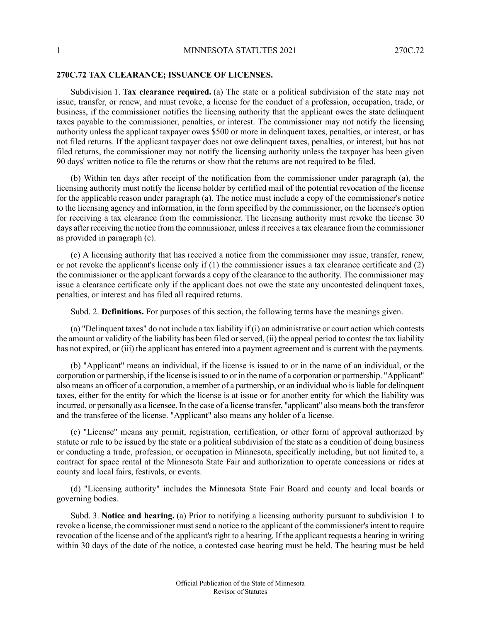## **270C.72 TAX CLEARANCE; ISSUANCE OF LICENSES.**

Subdivision 1. **Tax clearance required.** (a) The state or a political subdivision of the state may not issue, transfer, or renew, and must revoke, a license for the conduct of a profession, occupation, trade, or business, if the commissioner notifies the licensing authority that the applicant owes the state delinquent taxes payable to the commissioner, penalties, or interest. The commissioner may not notify the licensing authority unless the applicant taxpayer owes \$500 or more in delinquent taxes, penalties, or interest, or has not filed returns. If the applicant taxpayer does not owe delinquent taxes, penalties, or interest, but has not filed returns, the commissioner may not notify the licensing authority unless the taxpayer has been given 90 days' written notice to file the returns or show that the returns are not required to be filed.

(b) Within ten days after receipt of the notification from the commissioner under paragraph (a), the licensing authority must notify the license holder by certified mail of the potential revocation of the license for the applicable reason under paragraph (a). The notice must include a copy of the commissioner's notice to the licensing agency and information, in the form specified by the commissioner, on the licensee's option for receiving a tax clearance from the commissioner. The licensing authority must revoke the license 30 days after receiving the notice from the commissioner, unlessit receives a tax clearance from the commissioner as provided in paragraph (c).

(c) A licensing authority that has received a notice from the commissioner may issue, transfer, renew, or not revoke the applicant's license only if  $(1)$  the commissioner issues a tax clearance certificate and  $(2)$ the commissioner or the applicant forwards a copy of the clearance to the authority. The commissioner may issue a clearance certificate only if the applicant does not owe the state any uncontested delinquent taxes, penalties, or interest and has filed all required returns.

Subd. 2. **Definitions.** For purposes of this section, the following terms have the meanings given.

(a) "Delinquent taxes" do not include a tax liability if (i) an administrative or court action which contests the amount or validity of the liability has been filed orserved, (ii) the appeal period to contest the tax liability has not expired, or (iii) the applicant has entered into a payment agreement and is current with the payments.

(b) "Applicant" means an individual, if the license is issued to or in the name of an individual, or the corporation or partnership, if the license is issued to or in the name of a corporation or partnership. "Applicant" also means an officer of a corporation, a member of a partnership, or an individual who isliable for delinquent taxes, either for the entity for which the license is at issue or for another entity for which the liability was incurred, or personally as a licensee. In the case of a license transfer, "applicant" also means both the transferor and the transferee of the license. "Applicant" also means any holder of a license.

(c) "License" means any permit, registration, certification, or other form of approval authorized by statute or rule to be issued by the state or a political subdivision of the state as a condition of doing business or conducting a trade, profession, or occupation in Minnesota, specifically including, but not limited to, a contract for space rental at the Minnesota State Fair and authorization to operate concessions or rides at county and local fairs, festivals, or events.

(d) "Licensing authority" includes the Minnesota State Fair Board and county and local boards or governing bodies.

Subd. 3. **Notice and hearing.** (a) Prior to notifying a licensing authority pursuant to subdivision 1 to revoke a license, the commissioner must send a notice to the applicant of the commissioner's intent to require revocation of the license and of the applicant's right to a hearing. If the applicant requests a hearing in writing within 30 days of the date of the notice, a contested case hearing must be held. The hearing must be held